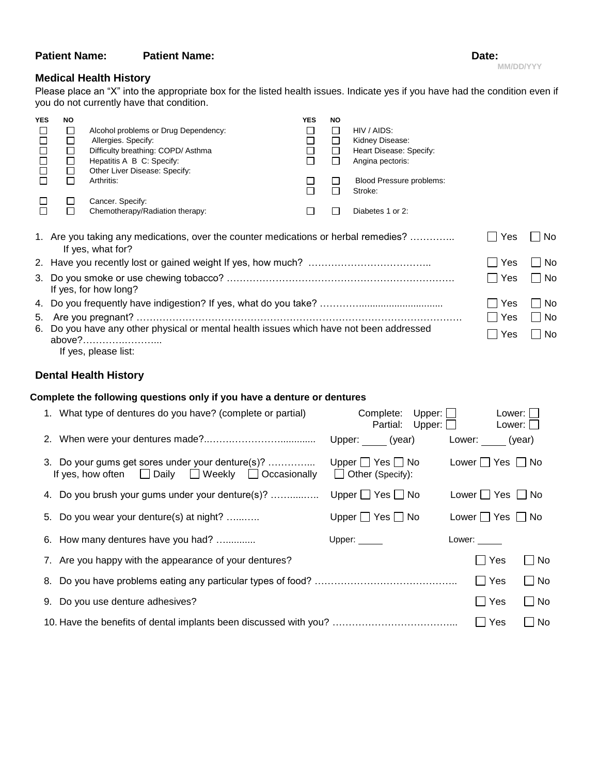# **Patient Name:** Patient Name: Date: Date: Date: Date: Date: Date: Date: Date: Date: Date: Date: Date: Date: Date: D

| ate: |  |
|------|--|
|      |  |

### **Medical Health History**

Please place an "X" into the appropriate box for the listed health issues. Indicate yes if you have had the condition even if you do not currently have that condition.

| <b>YES</b>                                                                              | NO |                                                                                     | <b>YES</b> | NO     |                          |                       |                      |
|-----------------------------------------------------------------------------------------|----|-------------------------------------------------------------------------------------|------------|--------|--------------------------|-----------------------|----------------------|
|                                                                                         | ⊔  | Alcohol problems or Drug Dependency:                                                | ⊔          | ப      | HIV / AIDS:              |                       |                      |
| $\Box$                                                                                  | □  | Allergies. Specify:                                                                 | $\Box$     | □      | Kidney Disease:          |                       |                      |
| $\Box$                                                                                  | □  | Difficulty breathing: COPD/ Asthma                                                  | $\Box$     | $\Box$ | Heart Disease: Specify:  |                       |                      |
|                                                                                         | □  | Hepatitis A B C: Specify:                                                           |            | $\Box$ | Angina pectoris:         |                       |                      |
| $\Box$                                                                                  | □  | Other Liver Disease: Specify:                                                       |            |        |                          |                       |                      |
|                                                                                         | П  | Arthritis:                                                                          |            |        | Blood Pressure problems: |                       |                      |
|                                                                                         |    |                                                                                     |            | П      | Stroke:                  |                       |                      |
|                                                                                         | ப  | Cancer. Specify:                                                                    |            |        |                          |                       |                      |
|                                                                                         | П  | Chemotherapy/Radiation therapy:                                                     |            |        | Diabetes 1 or 2:         |                       |                      |
|                                                                                         |    | 1. Are you taking any medications, over the counter medications or herbal remedies? |            |        |                          | Yes                   | No.                  |
|                                                                                         |    | If yes, what for?                                                                   |            |        |                          |                       |                      |
|                                                                                         |    |                                                                                     |            |        |                          | Yes                   | No.                  |
|                                                                                         |    |                                                                                     |            |        |                          | Yes<br>$\blacksquare$ | No.                  |
|                                                                                         |    | If yes, for how long?                                                               |            |        |                          |                       |                      |
|                                                                                         |    |                                                                                     |            |        |                          | Yes                   | No<br><b>College</b> |
| 5.                                                                                      |    |                                                                                     |            |        |                          | ∣ Yes                 | No.<br>$\mathsf{L}$  |
| 6. Do you have any other physical or mental health issues which have not been addressed |    |                                                                                     |            |        |                          |                       |                      |
|                                                                                         |    | above?                                                                              |            |        |                          | Yes<br>$\blacksquare$ | No<br>l a            |
|                                                                                         |    | If yes, please list:                                                                |            |        |                          |                       |                      |
|                                                                                         |    |                                                                                     |            |        |                          |                       |                      |

## **Dental Health History**

### **Complete the following questions only if you have a denture or dentures**

| 1. What type of dentures do you have? (complete or partial)                                                          | Upper: $\Box$<br>Complete:<br>Partial: Upper: $\Box$  |               | Lower:                     | Lower: $\Box$      |
|----------------------------------------------------------------------------------------------------------------------|-------------------------------------------------------|---------------|----------------------------|--------------------|
|                                                                                                                      | Upper: (year)                                         |               | Lower: (year)              |                    |
| 3. Do your gums get sores under your denture(s)?<br>If yes, how often $\Box$ Daily $\Box$ Weekly $\Box$ Occasionally | Upper $\Box$ Yes $\Box$ No<br>$\Box$ Other (Specify): |               | Lower $\Box$ Yes $\Box$ No |                    |
| 4. Do you brush your gums under your denture(s)?                                                                     | Upper $\Box$ Yes $\Box$ No                            |               | Lower $\Box$ Yes $\Box$ No |                    |
| 5. Do you wear your denture(s) at night?                                                                             | Upper $\Box$ Yes $\Box$ No                            |               | Lower $\Box$ Yes $\Box$ No |                    |
| 6. How many dentures have you had?                                                                                   | Upper: $\_\_$                                         | Lower: $\_\_$ |                            |                    |
| 7. Are you happy with the appearance of your dentures?                                                               |                                                       |               | l IYes                     | $\Box$ No          |
|                                                                                                                      |                                                       |               | Yes                        | $\Box$ No          |
| 9. Do you use denture adhesives?                                                                                     |                                                       |               | Yes<br>$\blacksquare$      | $\Box$ No          |
|                                                                                                                      |                                                       |               | $\Box$ Yes                 | No<br>$\mathsf{L}$ |